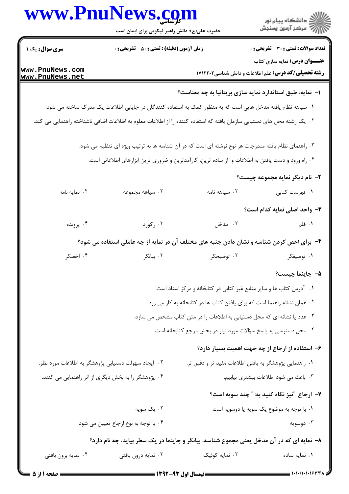|                        | www.PnuNews.com                                                                                                                     |                | ر<br>دانشڪاه پيام نور)<br>اڳ مرڪز آزمون وسنڊش                             |  |
|------------------------|-------------------------------------------------------------------------------------------------------------------------------------|----------------|---------------------------------------------------------------------------|--|
|                        | حضرت علی(ع): دانش راهبر نیکویی برای ایمان است                                                                                       |                |                                                                           |  |
| <b>سری سوال :</b> یک ۱ | <b>زمان آزمون (دقیقه) : تستی : 80 ٪ تشریحی : 0</b>                                                                                  |                | تعداد سوالات : تستي : 30 - تشريحي : 0                                     |  |
| www.PnuNews.com        |                                                                                                                                     |                | <b>عنـــوان درس:</b> نمایه سازی کتاب                                      |  |
| www.PnuNews.net        |                                                                                                                                     |                | <b>رشته تحصیلی/کد درس:</b> علم اطلاعات و دانش شناسی1۷۱۲۲۰۲                |  |
|                        |                                                                                                                                     |                | ا–  نمایه، طبق استاندارد نمایه سازی بریتانیا به چه معناست؟                |  |
|                        | ۰۱ سیاهه نظام یافته مدخل هایی است که به منظور کمک به استفاده کنندگان در جایابی اطلاعات یک مدرک ساخته می شود.                        |                |                                                                           |  |
|                        | <sup>۲</sup> ۰ یک رشته محل های دستیابی سازمان یافته که استفاده کننده را از اطلاعات معلوم به اطلاعات اضافی ناشناخته راهنمایی می کند. |                |                                                                           |  |
|                        | ۰۳ راهنمای نظام یافته مندرجات هر نوع نوشته ای است که در آن شناسه ها به ترتیب ویژه ای تنظیم می شود.                                  |                |                                                                           |  |
|                        | ۰۴ راه ورود و دست یافتن به اطلاعات و از ساده ترین، کارآمدترین و ضروری ترین ابزارهای اطلاعاتی است.                                   |                |                                                                           |  |
|                        |                                                                                                                                     |                | ۲- نام دیگر نمایه مجموعه چیست؟                                            |  |
| ۰۴ نمایه نامه          | ۰۳ سیاهه مجموعه                                                                                                                     | ۰۲ سیاهه نامه  | ۰۱ فهرست کتابی                                                            |  |
|                        |                                                                                                                                     |                | <b>۳</b> - واحد اصلی نمایه کدام است؟                                      |  |
| ۰۴ پرونده              | ۰۳ رکورد                                                                                                                            | ۰۲ مدخل        | <b>۱.</b> قلم                                                             |  |
|                        | ۴- برای اخص کردن شناسه و نشان دادن جنبه های مختلف آن در نمایه از چه عاملی استفاده می شود؟                                           |                |                                                                           |  |
| ۰۴ اخصگر               | ۰۳ بیانگر                                                                                                                           | ۰۲ توضیحگر     | ۰۱ توصیفگر                                                                |  |
|                        |                                                                                                                                     |                | ۵− جاينما چيست؟                                                           |  |
|                        |                                                                                                                                     |                | ۰۱ آدرس کتاب ها و سایر منابع غیر کتابی در کتابخانه و مرکز اسناد است.      |  |
|                        |                                                                                                                                     |                | ۰۲ همان نشانه راهنما است که برای یافتن کتاب ها در کتابخانه به کار می رود. |  |
|                        |                                                                                                                                     |                | ۰۳ عدد یا نشانه ای که محل دستیابی به اطلاعات را در متن کتاب مشخص می سازد. |  |
|                        |                                                                                                                                     |                | ۰۴ محل دسترسی به پاسخ سؤالات مورد نیاز در بخش مرجع کتابخانه است.          |  |
|                        |                                                                                                                                     |                | ۶– استفاده از ارجاع از چه جهت اهمیت بسیار دارد؟                           |  |
|                        | ۰۲ ایجاد سهولت دستیابی پژوهشگر به اطلاعات مورد نظر.                                                                                 |                | ٠. راهنمايي پژوهشگر به يافتن اطلاعات مفيد تر و دقيق تر.                   |  |
|                        | ۰۴ پژوهشگر را به بخش دیگری از اثر راهنمایی می کنند.                                                                                 |                | ۰۳ باعث می شود اطلاعات بیشتری بیابیم.                                     |  |
|                        |                                                                                                                                     |                | ۷- ارجاع ″نیز نگاه کنید به: ″ چند سویه است؟                               |  |
|                        | ۰۲ یک سویه                                                                                                                          |                | ٠١. با توجه به موضوع يک سويه يا دوسويه است                                |  |
|                        | ۰۴ با توجه به نوع ارجاع تعیین می شود                                                                                                |                | ۰۳ دوسویه                                                                 |  |
|                        | ۸– نمایه ای که در آن مدخل یعنی مجموع شناسه، بیانگر و جاینما در یک سطر بیاید، چه نام دارد؟                                           |                |                                                                           |  |
| ۰۴ نمایه برون بافتی    | ۰۳ نمایه درون بافتی                                                                                                                 | ۰۲ نمایه کوئیک | ٠١ نمايه ساده                                                             |  |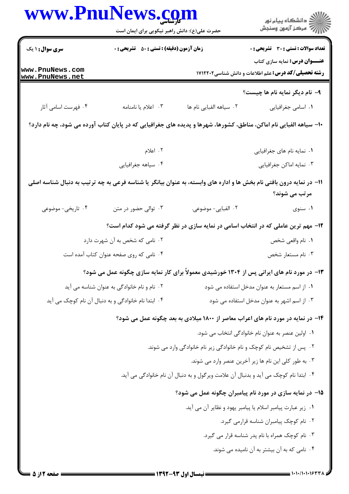|                                    | www.PnuNews.com<br>حضرت علی(ع): دانش راهبر نیکویی برای ایمان است |                                                                                                                      | ِ<br>∭ دانشڪاه پيام نور<br>∭ مرڪز آزمون وسنڊش                                                      |
|------------------------------------|------------------------------------------------------------------|----------------------------------------------------------------------------------------------------------------------|----------------------------------------------------------------------------------------------------|
| <b>سری سوال : ۱ یک</b>             | <b>زمان آزمون (دقیقه) : تستی : 50 ٪ تشریحی : 0</b>               |                                                                                                                      | <b>تعداد سوالات : تستی : 30 ٪ تشریحی : 0</b>                                                       |
| www.PnuNews.com<br>www.PnuNews.net |                                                                  |                                                                                                                      | <b>عنـــوان درس:</b> نمایه سازی کتاب<br><b>رشته تحصیلی/کد درس:</b> علم اطلاعات و دانش شناسی1۷۱۲۲۰۲ |
|                                    |                                                                  |                                                                                                                      | ۹- نام دیگر نمایه نام ها چیست؟                                                                     |
| ۰۴ فهرست اسامي آثار                | ۰۳ اعلام یا نامنامه                                              | ۰۲ سیاهه الفبایی نام ها                                                                                              | ٠١. اسامي جغرافيايي                                                                                |
|                                    |                                                                  | ∙ا– سیاهه الفبایی نام اماکن، مناطق، کشورها، شهرها و پدیده های جغرافیایی که در پایان کتاب آورده می شود، چه نام دارد؟  |                                                                                                    |
|                                    | ۲. اعلام                                                         |                                                                                                                      | ۰۱ نمایه نام های جغرافیایی                                                                         |
|                                    | ۰۴ سیاهه جغرافیایی                                               |                                                                                                                      | ۰۳ نمایه اماکن جغرافیایی                                                                           |
|                                    |                                                                  | 1۱– در نمایه درون بافتی نام بخش ها و اداره های وابسته، به عنوان بیانگر یا شناسه فرعی به چه ترتیب به دنبال شناسه اصلی | مرتب می شوند؟                                                                                      |
| ۰۴ تاریخی- موضوعی                  | ۰۳ توالی حضور در متن                                             | ٢. الفبايي- موضوعي.                                                                                                  | ۰۱ سنوی                                                                                            |
|                                    |                                                                  | ۱۲- مهم ترین عاملی که در انتخاب اسامی در نمایه سازی در نظر گرفته می شود کدام است؟                                    |                                                                                                    |
| ۰۲ نامی که شخص به آن شهرت دارد     |                                                                  | ٠١ نام واقعي شخص                                                                                                     |                                                                                                    |
|                                    | ۰۴ نامی که روی صفحه عنوان کتاب آمده است                          |                                                                                                                      | ۰۳ نام مستعار شخص                                                                                  |
|                                    |                                                                  | ۱۳- در مورد نام های ایرانی پس از ۱۳۰۴ خورشیدی معمولاً برای کار نمایه سازی چگونه عمل می شود؟                          |                                                                                                    |
|                                    | ۰۲ نام و نام خانوادگی به عنوان شناسه می آید                      |                                                                                                                      | ٠١ از اسم مستعار به عنوان مدخل استفاده می شود                                                      |
|                                    | ۰۴ ابتدا نام خانوادگی و به دنبال آن نام کوچک می آید              |                                                                                                                      | ۰۳ از اسم اشهر به عنوان مدخل استفاده می شود                                                        |
|                                    |                                                                  | ۱۴- در نمایه در مورد نام های اعراب معاصر از ۱۸۰۰ میلادی به بعد چگونه عمل می شود؟                                     |                                                                                                    |
|                                    |                                                                  |                                                                                                                      | ٠١. اولين عنصر به عنوان نام خانوادگي انتخاب مي شود.                                                |
|                                    |                                                                  | ۰۲ پس از تشخیص نام کوچک و نام خانوادگی زیر نام خانوادگی وارد می شوند.                                                |                                                                                                    |
|                                    |                                                                  |                                                                                                                      | ۰۳ به طور کلی این نام ها زیر آخرین عنصر وارد می شوند.                                              |
|                                    |                                                                  | ۰۴ ابتدا نام کوچک می آید و بدنبال آن علامت ویرگول و به دنبال آن نام خانوادگی می آید.                                 |                                                                                                    |
|                                    |                                                                  | ۱۵– در نمایه سازی در مورد نام پیامبران چگونه عمل می شود؟                                                             |                                                                                                    |
|                                    |                                                                  | ٠١ زير عبارت پيامبر اسلام يا پيامبر يهود و نظاير آن مي آيد.                                                          |                                                                                                    |
|                                    |                                                                  |                                                                                                                      | ٠٢ نام كوچك پيامبران شناسه قرارمي كيرد.                                                            |
|                                    |                                                                  |                                                                                                                      | ۰۳ نام کوچک همراه با نام پدر شناسه قرار می گیرد.                                                   |
|                                    |                                                                  |                                                                                                                      | ۰۴ نامی که به آن بیشتر به آن نامیده می شوند.                                                       |
|                                    |                                                                  |                                                                                                                      |                                                                                                    |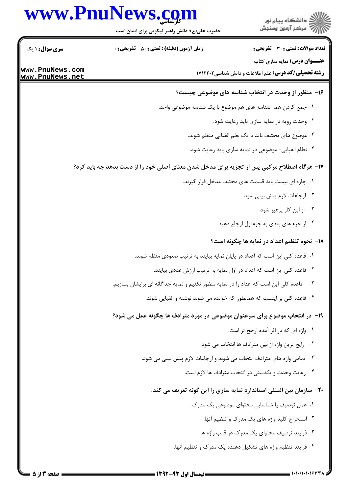## www.PnuNews.com

|                                    | حضرت علی(ع): دانش راهبر نیکویی برای ایمان است                                               | \\\\\\`` مرڪز آزمون وسنڊش                                                                          |
|------------------------------------|---------------------------------------------------------------------------------------------|----------------------------------------------------------------------------------------------------|
| <b>سری سوال :</b> ۱ یک             | زمان آزمون (دقیقه) : تستی : 50 ٪ تشریحی : 0                                                 | <b>تعداد سوالات : تستي : 30 ٪ تشريحي : 0</b>                                                       |
| www.PnuNews.com<br>www.PnuNews.net |                                                                                             | <b>عنـــوان درس:</b> نمایه سازی کتاب<br><b>رشته تحصیلی/کد درس:</b> علم اطلاعات و دانش شناسی1۷۱۲۲۰۲ |
|                                    |                                                                                             | ۱۶– منظور از وحدت در انتخاب شناسه های موضوعی چیست؟                                                 |
|                                    | ١. جمع كردن همه شناسه هاى هم موضوع با يك شناسه موضوعى واحد.                                 |                                                                                                    |
|                                    |                                                                                             | ٠٢ وحدت رويه در نمايه سازى بايد رعايت شود.                                                         |
|                                    |                                                                                             | ۰۳ موضوع های مختلف باید با یک نظم الفبایی منظم شوند.                                               |
|                                    |                                                                                             | ۰۴ نظام الفبایی- موضوعی در نمایه سازی باید رعایت شود.                                              |
|                                    | ۱۷- هرگاه اصطلاح مرکبی پس از تجزیه برای مدخل شدن معنای اصلی خود را از دست بدهد چه باید کرد؟ |                                                                                                    |
|                                    |                                                                                             | ٠١. چاره ای نیست باید قسمت های مختلف مدخل قرار گیرند.                                              |
|                                    |                                                                                             | ۰۲ ارجاعات لازم پیش بینی شود.                                                                      |
|                                    |                                                                                             | ۰۳ از این کار پرهیز شود.                                                                           |
|                                    |                                                                                             | ۰۴ از جزء های بعدی به جزء اول ارجاع دهید.                                                          |
|                                    |                                                                                             | <b>۱۸</b> - نحوه تنظیم اعداد در نمایه ها چگونه است؟                                                |
|                                    | ۰۱ قاعده کلی این است که اعداد در پایان نمایه بیایند به ترتیب صعودی منظم شوند.               |                                                                                                    |
|                                    | ۰۲ قاعده کلی این است که اعداد در اول نمایه به ترتیب ارزش عددی بیایند.                       |                                                                                                    |
|                                    | ۰۳ قاعده کلی این است که اعداد را در نمایه منظور نکنیم و نمایه جداگانه ای برایشان بسازیم.    |                                                                                                    |
|                                    | ۰۴ قاعده کلی بر اینست که همانطور که خوانده می شوند نوشته و الفبایی شوند.                    |                                                                                                    |
|                                    | ۱۹- در انتخاب موضوع برای سرعنوان موضوعی در مورد مترادف ها چگونه عمل می شود؟                 |                                                                                                    |
|                                    |                                                                                             | ٠١. واژه ای که در اثر آمده ارجح تر است.                                                            |
|                                    |                                                                                             | ۰۲ رايج ترين واژه از بين مترادف ها انتخاب مي شود.                                                  |
|                                    | ۰۳ تمامی واژه های مترادف انتخاب می شوند و ارجاعات لازم پیش بینی می شود.                     |                                                                                                    |
|                                    |                                                                                             | ۰۴ رعایت وحدت و یکدستی در انتخاب مترادف ها لازم است.                                               |
|                                    | +۲- سازمان بین المللی استاندارد نمایه سازی را این گونه تعریف می کند.                        |                                                                                                    |
|                                    |                                                                                             | ۰۱ عمل توصیف یا شناسایی محتوای موضوعی یک مدرک.                                                     |
|                                    |                                                                                             | ۰۲ استخراج کلید واژه های یک مدرک و تنظیم آنها.                                                     |
|                                    |                                                                                             | ۰۳ فرایند توصیف محتوای یک مدرک در قالب واژه ها.                                                    |
|                                    |                                                                                             | ۰۴ فرایند تنظیم واژه های تشکیل دهنده یک مدرک و تنظیم آنها.                                         |

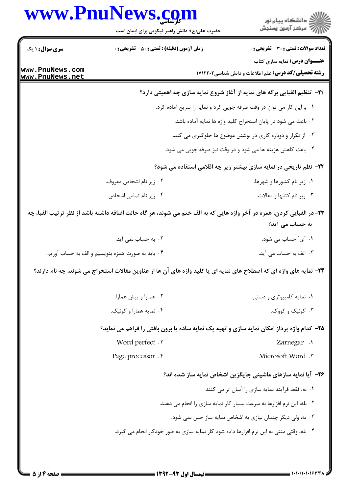|                                                                | www.PnuNews.com<br>حضرت علی(ع): دانش راهبر نیکویی برای ایمان است | ڪ دانشڪاه پيام نور<br>//> مرڪز آزمون وسنڊش                                                                                              |
|----------------------------------------------------------------|------------------------------------------------------------------|-----------------------------------------------------------------------------------------------------------------------------------------|
| <b>سری سوال : ۱ یک</b>                                         | زمان آزمون (دقیقه) : تستی : ۵۰٪ تشریحی : ۰                       | <b>تعداد سوالات : تستی : 30 ٪ تشریحی : 0</b>                                                                                            |
| www.PnuNews.com<br>www.PnuNews.net                             |                                                                  | <b>عنـــوان درس:</b> نمایه سازی کتاب<br><b>رشته تحصیلی/کد درس:</b> علم اطلاعات و دانش شناسی ۱۷۱۲۲۰۲                                     |
|                                                                |                                                                  | <b>۲۱</b> - تنظیم الفبایی برگه های نمایه از آغاز شروع نمایه سازی چه اهمیتی دارد؟                                                        |
|                                                                |                                                                  | ١. با این کار می توان در وقت صرفه جویی کرد و نمایه را سریع آماده کرد.                                                                   |
| ۰۲ باعث می شود در پایان استخراج کلید واژه ها نمایه آماده باشد. |                                                                  |                                                                                                                                         |
|                                                                | ۰۳ از تکرار و دوباره کاری در نوشتن موضوع ها جلوگیری می کند.      |                                                                                                                                         |
|                                                                |                                                                  | ۰۴ باعث کاهش هزینه ها می شود و در وقت نیز صرفه جویی می شود.                                                                             |
|                                                                |                                                                  | ۲۲- نظم تاریخی در نمایه سازی بیشتر زیر چه اقلامی استفاده می شود؟                                                                        |
|                                                                | ۰۲ زیر نام اشخاص معروف.                                          | ۰۱ زیر نام کشورها و شهرها.                                                                                                              |
|                                                                | ۰۴ زیر نام تمامی اشخاص.                                          | ۰۳ زیر نام کتابها و مقالات.                                                                                                             |
|                                                                |                                                                  | ۲۳–در الفبایی کردن، همزه در آخر واژه هایی که به الف ختم می شوند، هر گاه حالت اضافه داشته باشد از نظر ترتیب الفبا، چه<br>به حساب می آید؟ |
|                                                                | ۰۲ به حساب نمی آید.                                              | ۰۱ "ی" حساب می شود.                                                                                                                     |
|                                                                | ۰۴ بايد به صورت همزه بنويسيم و الف به حساب آوريم.                | ۰۳ الف به حساب می آید.                                                                                                                  |
|                                                                |                                                                  | ۲۴- نمایه های واژه ای که اصطلاح های نمایه ای یا کلید واژه های آن ها از عناوین مقالات استخراج می شوند، چه نام دارند؟                     |
|                                                                | ۰۲ همارا و پيش همارا.                                            | ۰۱ نمایه کامپیوتری و دستی.                                                                                                              |
|                                                                | ۰۴ نمایه همارا و کوئیک.                                          | ۰۳ کوئیک و کووک.                                                                                                                        |
|                                                                |                                                                  | ۲۵- کدام واژه پرداز امکان نمایه سازی و تهیه یک نمایه ساده یا برون بافتی را فراهم می نماید؟                                              |
|                                                                | Word perfect .Y                                                  | Zarnegar .                                                                                                                              |
|                                                                | Page processor . f                                               | Microsoft Word . ٣                                                                                                                      |
|                                                                |                                                                  | ۲۶- آیا نمایه سازهای ماشینی جایگزین اشخاص نمایه ساز شده اند؟                                                                            |
|                                                                |                                                                  | ٠١ نه، فقط فرآيند نمايه سازي را آسان تر مي كنند.                                                                                        |
|                                                                |                                                                  | ۰۲ بله، این نرم افزارها به سرعت بسیار کار نمایه سازی را انجام می دهند.                                                                  |
|                                                                |                                                                  | ۰۳ نه، ولی دیگر چندان نیازی به اشخاص نمایه ساز حس نمی شود.                                                                              |
|                                                                |                                                                  | ۰۴ بله، وقتی متنی به این نرم افزارها داده شود کار نمایه سازی به طور خودکار انجام می گیرد.                                               |